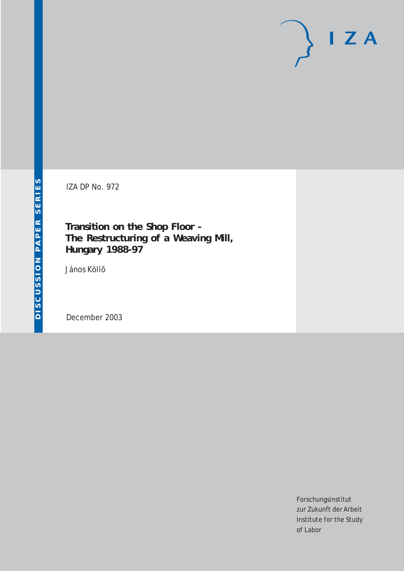# $I Z A$

IZA DP No. 972

**Transition on the Shop Floor - The Restructuring of a Weaving Mill, Hungary 1988-97**

János Köllõ

December 2003

Forschungsinstitut zur Zukunft der Arbeit Institute for the Study of Labor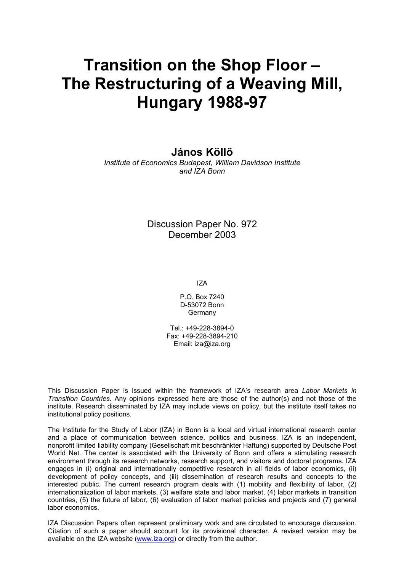# **Transition on the Shop Floor – The Restructuring of a Weaving Mill, Hungary 1988-97**

#### **János Köllő**

*Institute of Economics Budapest, William Davidson Institute and IZA Bonn* 

> Discussion Paper No. 972 December 2003

> > IZA

P.O. Box 7240 D-53072 Bonn Germany

Tel.: +49-228-3894-0 Fax: +49-228-3894-210 Email: [iza@iza.org](mailto:iza@iza.org)

This Discussion Paper is issued within the framework of IZA's research area *Labor Markets in Transition Countries.* Any opinions expressed here are those of the author(s) and not those of the institute. Research disseminated by IZA may include views on policy, but the institute itself takes no institutional policy positions.

The Institute for the Study of Labor (IZA) in Bonn is a local and virtual international research center and a place of communication between science, politics and business. IZA is an independent, nonprofit limited liability company (Gesellschaft mit beschränkter Haftung) supported by Deutsche Post World Net. The center is associated with the University of Bonn and offers a stimulating research environment through its research networks, research support, and visitors and doctoral programs. IZA engages in (i) original and internationally competitive research in all fields of labor economics, (ii) development of policy concepts, and (iii) dissemination of research results and concepts to the interested public. The current research program deals with (1) mobility and flexibility of labor, (2) internationalization of labor markets, (3) welfare state and labor market, (4) labor markets in transition countries, (5) the future of labor, (6) evaluation of labor market policies and projects and (7) general labor economics.

IZA Discussion Papers often represent preliminary work and are circulated to encourage discussion. Citation of such a paper should account for its provisional character. A revised version may be available on the IZA website ([www.iza.org](http://www.iza.org/)) or directly from the author.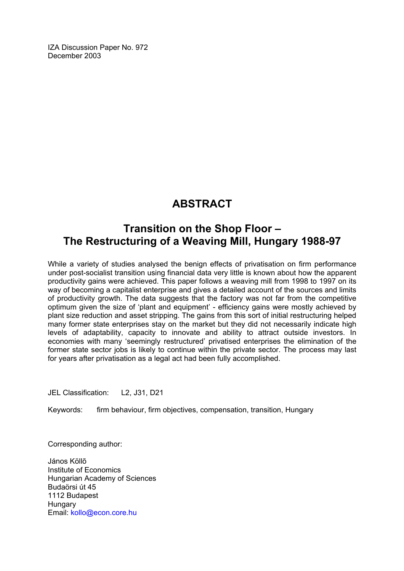IZA Discussion Paper No. 972 December 2003

## **ABSTRACT**

### **Transition on the Shop Floor – The Restructuring of a Weaving Mill, Hungary 1988-97**

While a variety of studies analysed the benign effects of privatisation on firm performance under post-socialist transition using financial data very little is known about how the apparent productivity gains were achieved. This paper follows a weaving mill from 1998 to 1997 on its way of becoming a capitalist enterprise and gives a detailed account of the sources and limits of productivity growth. The data suggests that the factory was not far from the competitive optimum given the size of 'plant and equipment' - efficiency gains were mostly achieved by plant size reduction and asset stripping. The gains from this sort of initial restructuring helped many former state enterprises stay on the market but they did not necessarily indicate high levels of adaptability, capacity to innovate and ability to attract outside investors. In economies with many 'seemingly restructured' privatised enterprises the elimination of the former state sector jobs is likely to continue within the private sector. The process may last for years after privatisation as a legal act had been fully accomplished.

JEL Classification: L2, J31, D21

Keywords: firm behaviour, firm objectives, compensation, transition, Hungary

Corresponding author:

János Köllõ Institute of Economics Hungarian Academy of Sciences Budaörsi út 45 1112 Budapest **Hungary** Email: [kollo@econ.core.hu](mailto:kollo@econ.core.hu)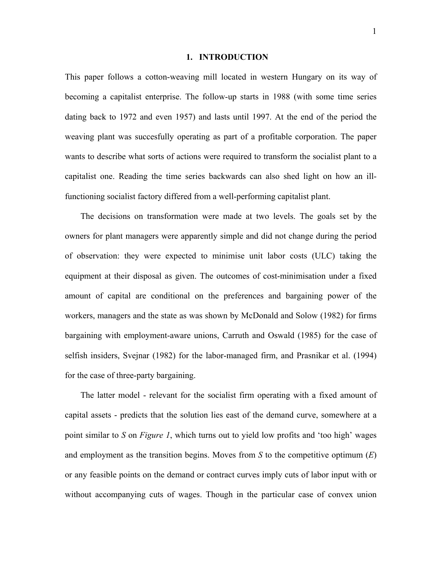#### **1. INTRODUCTION**

This paper follows a cotton-weaving mill located in western Hungary on its way of becoming a capitalist enterprise. The follow-up starts in 1988 (with some time series dating back to 1972 and even 1957) and lasts until 1997. At the end of the period the weaving plant was succesfully operating as part of a profitable corporation. The paper wants to describe what sorts of actions were required to transform the socialist plant to a capitalist one. Reading the time series backwards can also shed light on how an illfunctioning socialist factory differed from a well-performing capitalist plant.

The decisions on transformation were made at two levels. The goals set by the owners for plant managers were apparently simple and did not change during the period of observation: they were expected to minimise unit labor costs (ULC) taking the equipment at their disposal as given. The outcomes of cost-minimisation under a fixed amount of capital are conditional on the preferences and bargaining power of the workers, managers and the state as was shown by McDonald and Solow (1982) for firms bargaining with employment-aware unions, Carruth and Oswald (1985) for the case of selfish insiders, Svejnar (1982) for the labor-managed firm, and Prasnikar et al. (1994) for the case of three-party bargaining.

The latter model - relevant for the socialist firm operating with a fixed amount of capital assets - predicts that the solution lies east of the demand curve, somewhere at a point similar to *S* on *Figure 1*, which turns out to yield low profits and 'too high' wages and employment as the transition begins. Moves from *S* to the competitive optimum (*E*) or any feasible points on the demand or contract curves imply cuts of labor input with or without accompanying cuts of wages. Though in the particular case of convex union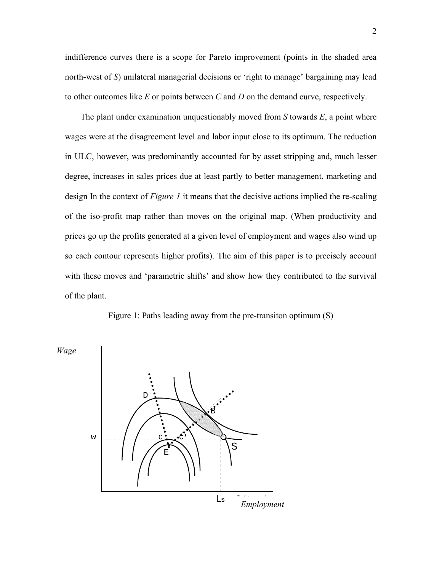indifference curves there is a scope for Pareto improvement (points in the shaded area north-west of *S*) unilateral managerial decisions or 'right to manage' bargaining may lead to other outcomes like *E* or points between *C* and *D* on the demand curve, respectively.

The plant under examination unquestionably moved from *S* towards *E*, a point where wages were at the disagreement level and labor input close to its optimum. The reduction in ULC, however, was predominantly accounted for by asset stripping and, much lesser degree, increases in sales prices due at least partly to better management, marketing and design In the context of *Figure 1* it means that the decisive actions implied the re-scaling of the iso-profit map rather than moves on the original map. (When productivity and prices go up the profits generated at a given level of employment and wages also wind up so each contour represents higher profits). The aim of this paper is to precisely account with these moves and 'parametric shifts' and show how they contributed to the survival of the plant.



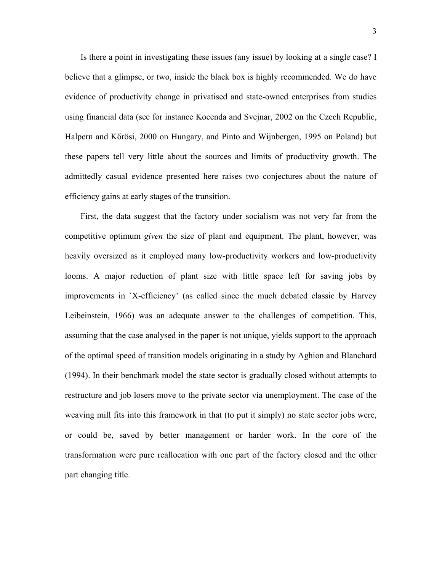Is there a point in investigating these issues (any issue) by looking at a single case? I believe that a glimpse, or two, inside the black box is highly recommended. We do have evidence of productivity change in privatised and state-owned enterprises from studies using financial data (see for instance Kocenda and Svejnar, 2002 on the Czech Republic, Halpern and Kőrösi, 2000 on Hungary, and Pinto and Wijnbergen, 1995 on Poland) but these papers tell very little about the sources and limits of productivity growth. The admittedly casual evidence presented here raises two conjectures about the nature of efficiency gains at early stages of the transition.

First, the data suggest that the factory under socialism was not very far from the competitive optimum *given* the size of plant and equipment. The plant, however, was heavily oversized as it employed many low-productivity workers and low-productivity looms. A major reduction of plant size with little space left for saving jobs by improvements in `X-efficiency' (as called since the much debated classic by Harvey Leibeinstein, 1966) was an adequate answer to the challenges of competition. This, assuming that the case analysed in the paper is not unique, yields support to the approach of the optimal speed of transition models originating in a study by Aghion and Blanchard (1994). In their benchmark model the state sector is gradually closed without attempts to restructure and job losers move to the private sector via unemployment. The case of the weaving mill fits into this framework in that (to put it simply) no state sector jobs were, or could be, saved by better management or harder work. In the core of the transformation were pure reallocation with one part of the factory closed and the other part changing title.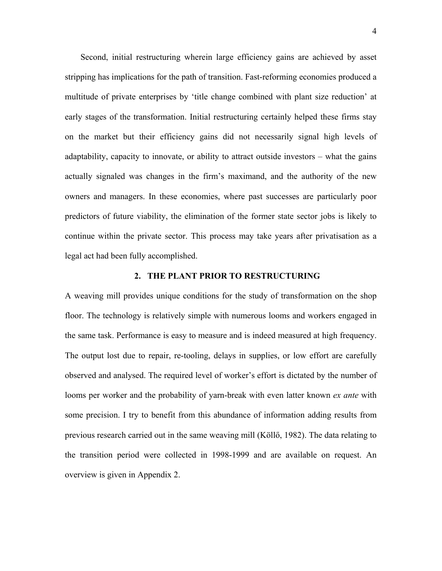Second, initial restructuring wherein large efficiency gains are achieved by asset stripping has implications for the path of transition. Fast-reforming economies produced a multitude of private enterprises by 'title change combined with plant size reduction' at early stages of the transformation. Initial restructuring certainly helped these firms stay on the market but their efficiency gains did not necessarily signal high levels of adaptability, capacity to innovate, or ability to attract outside investors – what the gains actually signaled was changes in the firm's maximand, and the authority of the new owners and managers. In these economies, where past successes are particularly poor predictors of future viability, the elimination of the former state sector jobs is likely to continue within the private sector. This process may take years after privatisation as a legal act had been fully accomplished.

#### **2. THE PLANT PRIOR TO RESTRUCTURING**

A weaving mill provides unique conditions for the study of transformation on the shop floor. The technology is relatively simple with numerous looms and workers engaged in the same task. Performance is easy to measure and is indeed measured at high frequency. The output lost due to repair, re-tooling, delays in supplies, or low effort are carefully observed and analysed. The required level of worker's effort is dictated by the number of looms per worker and the probability of yarn-break with even latter known *ex ante* with some precision. I try to benefit from this abundance of information adding results from previous research carried out in the same weaving mill (Köllő, 1982). The data relating to the transition period were collected in 1998-1999 and are available on request. An overview is given in Appendix 2.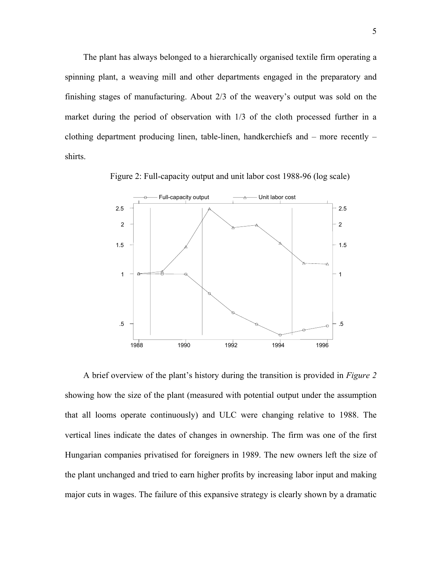The plant has always belonged to a hierarchically organised textile firm operating a spinning plant, a weaving mill and other departments engaged in the preparatory and finishing stages of manufacturing. About 2/3 of the weavery's output was sold on the market during the period of observation with 1/3 of the cloth processed further in a clothing department producing linen, table-linen, handkerchiefs and – more recently – shirts.

Figure 2: Full-capacity output and unit labor cost 1988-96 (log scale)



A brief overview of the plant's history during the transition is provided in *Figure 2* showing how the size of the plant (measured with potential output under the assumption that all looms operate continuously) and ULC were changing relative to 1988. The vertical lines indicate the dates of changes in ownership. The firm was one of the first Hungarian companies privatised for foreigners in 1989. The new owners left the size of the plant unchanged and tried to earn higher profits by increasing labor input and making major cuts in wages. The failure of this expansive strategy is clearly shown by a dramatic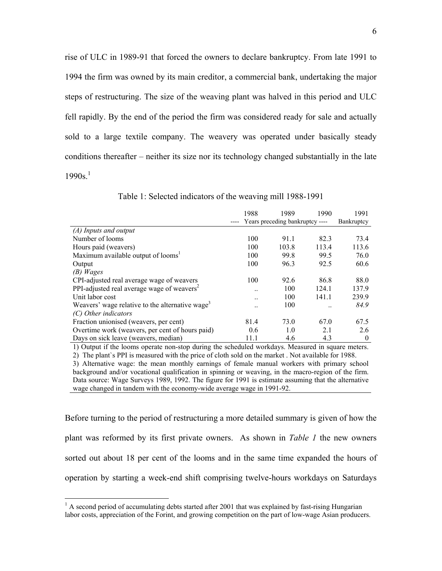rise of ULC in 1989-91 that forced the owners to declare bankruptcy. From late 1991 to 1994 the firm was owned by its main creditor, a commercial bank, undertaking the major steps of restructuring. The size of the weaving plant was halved in this period and ULC fell rapidly. By the end of the period the firm was considered ready for sale and actually sold to a large textile company. The weavery was operated under basically steady conditions thereafter – neither its size nor its technology changed substantially in the late  $1990s$ <sup>1</sup>

|                                                             | 1988      | 1989                            | 1990  | 1991       |
|-------------------------------------------------------------|-----------|---------------------------------|-------|------------|
|                                                             |           | Years preceding bankruptcy ---- |       | Bankruptcy |
| $(A)$ Inputs and output                                     |           |                                 |       |            |
| Number of looms                                             | 100       | 91.1                            | 82.3  | 73.4       |
| Hours paid (weavers)                                        | 100       | 103.8                           | 113.4 | 113.6      |
| Maximum available output of looms <sup>1</sup>              | 100       | 99.8                            | 99.5  | 76.0       |
| Output                                                      | 100       | 96.3                            | 92.5  | 60.6       |
| $(B)$ Wages                                                 |           |                                 |       |            |
| CPI-adjusted real average wage of weavers                   | 100       | 92.6                            | 86.8  | 88.0       |
| PPI-adjusted real average wage of weavers <sup>2</sup>      | $\ddotsc$ | 100                             | 124.1 | 137.9      |
| Unit labor cost                                             | $\ddotsc$ | 100                             | 141.1 | 239.9      |
| Weavers' wage relative to the alternative wage <sup>3</sup> |           | 100                             |       | 84.9       |
| (C) Other indicators                                        |           |                                 |       |            |
| Fraction unionised (weavers, per cent)                      | 81.4      | 73.0                            | 67.0  | 67.5       |
| Overtime work (weavers, per cent of hours paid)             | 0.6       | 1.0                             | 2.1   | 2.6        |
| Days on sick leave (weavers, median)                        | 11.1      | 4.6                             | 4.3   | $\theta$   |

Table 1: Selected indicators of the weaving mill 1988-1991

1) Output if the looms operate non-stop during the scheduled workdays. Measured in square meters. 2) The plant`s PPI is measured with the price of cloth sold on the market . Not available for 1988.

3) Alternative wage: the mean monthly earnings of female manual workers with primary school background and/or vocational qualification in spinning or weaving, in the macro-region of the firm. Data source: Wage Surveys 1989, 1992. The figure for 1991 is estimate assuming that the alternative wage changed in tandem with the economy-wide average wage in 1991-92.

Before turning to the period of restructuring a more detailed summary is given of how the plant was reformed by its first private owners. As shown in *Table 1* the new owners sorted out about 18 per cent of the looms and in the same time expanded the hours of operation by starting a week-end shift comprising twelve-hours workdays on Saturdays

<sup>&</sup>lt;sup>1</sup> A second period of accumulating debts started after 2001 that was explained by fast-rising Hungarian labor costs, appreciation of the Forint, and growing competition on the part of low-wage Asian producers.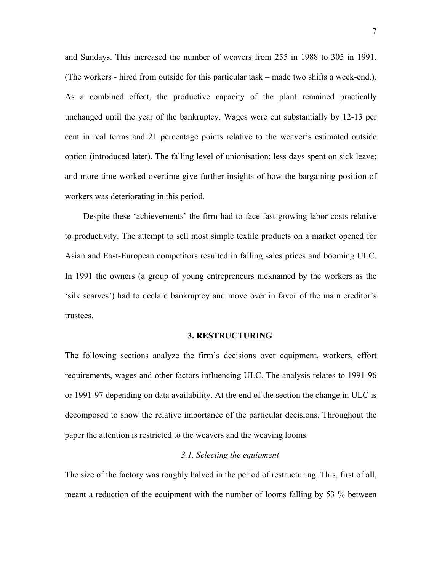and Sundays. This increased the number of weavers from 255 in 1988 to 305 in 1991. (The workers - hired from outside for this particular task – made two shifts a week-end.). As a combined effect, the productive capacity of the plant remained practically unchanged until the year of the bankruptcy. Wages were cut substantially by 12-13 per cent in real terms and 21 percentage points relative to the weaver's estimated outside option (introduced later). The falling level of unionisation; less days spent on sick leave; and more time worked overtime give further insights of how the bargaining position of workers was deteriorating in this period.

Despite these 'achievements' the firm had to face fast-growing labor costs relative to productivity. The attempt to sell most simple textile products on a market opened for Asian and East-European competitors resulted in falling sales prices and booming ULC. In 1991 the owners (a group of young entrepreneurs nicknamed by the workers as the 'silk scarves') had to declare bankruptcy and move over in favor of the main creditor's trustees.

#### **3. RESTRUCTURING**

The following sections analyze the firm's decisions over equipment, workers, effort requirements, wages and other factors influencing ULC. The analysis relates to 1991-96 or 1991-97 depending on data availability. At the end of the section the change in ULC is decomposed to show the relative importance of the particular decisions. Throughout the paper the attention is restricted to the weavers and the weaving looms.

#### *3.1. Selecting the equipment*

The size of the factory was roughly halved in the period of restructuring. This, first of all, meant a reduction of the equipment with the number of looms falling by 53 % between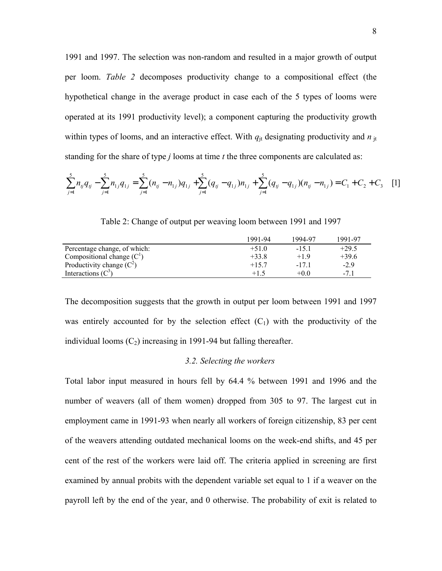1991 and 1997. The selection was non-random and resulted in a major growth of output per loom. *Table 2* decomposes productivity change to a compositional effect (the hypothetical change in the average product in case each of the 5 types of looms were operated at its 1991 productivity level); a component capturing the productivity growth within types of looms, and an interactive effect. With  $q_{it}$  designating productivity and  $n_{it}$ standing for the share of type *j* looms at time *t* the three components are calculated as:

$$
\sum_{j=1}^{5} n_{ij} q_{ij} - \sum_{j=1}^{5} n_{1j} q_{1j} = \sum_{j=1}^{5} (n_{ij} - n_{1j}) q_{1j} + \sum_{j=1}^{5} (q_{ij} - q_{1j}) n_{1j} + \sum_{j=1}^{5} (q_{ij} - q_{1j}) (n_{ij} - n_{1j}) = C_1 + C_2 + C_3
$$
 [1]

|                              | 1991-94 | 1994-97 | 1991-97 |
|------------------------------|---------|---------|---------|
| Percentage change, of which: | $+51.0$ | $-15.1$ | $+29.5$ |
| Compositional change $(C1)$  | $+33.8$ | $+19$   | $+39.6$ |
| Productivity change $(C^2)$  | $+157$  | -171    | $-2.9$  |
| Interactions $(C^3)$         | $+1.5$  | $+0.0$  |         |

Table 2: Change of output per weaving loom between 1991 and 1997

The decomposition suggests that the growth in output per loom between 1991 and 1997 was entirely accounted for by the selection effect  $(C_1)$  with the productivity of the individual looms  $(C_2)$  increasing in 1991-94 but falling thereafter.

#### *3.2. Selecting the workers*

Total labor input measured in hours fell by 64.4 % between 1991 and 1996 and the number of weavers (all of them women) dropped from 305 to 97. The largest cut in employment came in 1991-93 when nearly all workers of foreign citizenship, 83 per cent of the weavers attending outdated mechanical looms on the week-end shifts, and 45 per cent of the rest of the workers were laid off. The criteria applied in screening are first examined by annual probits with the dependent variable set equal to 1 if a weaver on the payroll left by the end of the year, and 0 otherwise. The probability of exit is related to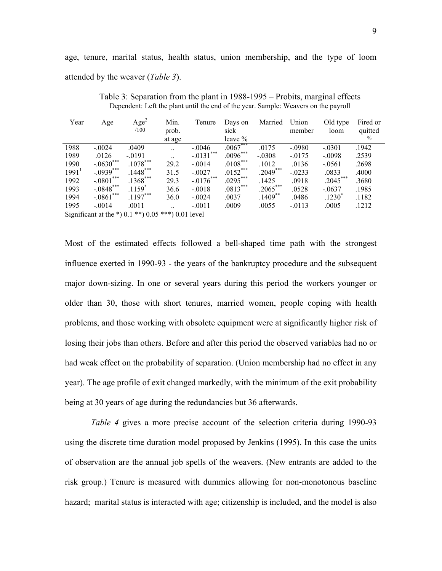age, tenure, marital status, health status, union membership, and the type of loom attended by the weaver (*Table 3*).

| Year              | Age             | Age <sup>2</sup><br>/100 | Min.<br>prob. | Tenure       | Days on<br>sick | Married    | Union<br>member | Old type<br>loom  | Fired or<br>quitted |
|-------------------|-----------------|--------------------------|---------------|--------------|-----------------|------------|-----------------|-------------------|---------------------|
|                   |                 |                          | at age        |              | leave $\%$      |            |                 |                   | $\frac{0}{0}$       |
| 1988              | $-0.0024$       | .0409                    |               | $-.0046$     | $.0067***$      | .0175      | $-.0980$        | $-.0301$          | .1942               |
| 1989              | .0126           | $-.0191$                 |               | $-.0131$ *** | $.0096***$      | $-.0308$   | $-0.0175$       | $-.0098$          | .2539               |
| 1990              | $-.0630***$     | $.1078***$               | 29.2          | $-.0014$     | $.0108***$      | .1012      | .0136           | $-.0561$          | .2698               |
| 1991 <sup>1</sup> | $-.0939***$     | $1448***$                | 31.5          | $-.0027$     | $.0152***$      | $2049***$  | $-0.0233$       | .0833             | .4000               |
| 1992              | $-.0801$ ***    | $.1368***$               | 29.3          | $-.0176***$  | $.0295***$      | .1425      | .0918           | $.2045***$        | .3680               |
| 1993              | $-.0848$ ***    | $.1159$ <sup>*</sup>     | 36.6          | $-.0018$     | $.0813***$      | $.2065***$ | .0528           | $-.0637$          | .1985               |
| 1994              | ***<br>$-.0861$ | $.1197***$               | 36.0          | $-.0024$     | .0037           | $.1409***$ | .0486           | $.1230^{\degree}$ | .1182               |
| 1995              | $-.0014$        | .0011                    |               | $-.0011$     | .0009           | .0055      | $-0113$         | .0005             | .1212               |

Table 3: Separation from the plant in 1988-1995 – Probits, marginal effects Dependent: Left the plant until the end of the year. Sample: Weavers on the payroll

Significant at the \*)  $0.1$  \*\*)  $0.05$  \*\*\*)  $0.01$  level

Most of the estimated effects followed a bell-shaped time path with the strongest influence exerted in 1990-93 - the years of the bankruptcy procedure and the subsequent major down-sizing. In one or several years during this period the workers younger or older than 30, those with short tenures, married women, people coping with health problems, and those working with obsolete equipment were at significantly higher risk of losing their jobs than others. Before and after this period the observed variables had no or had weak effect on the probability of separation. (Union membership had no effect in any year). The age profile of exit changed markedly, with the minimum of the exit probability being at 30 years of age during the redundancies but 36 afterwards.

*Table 4* gives a more precise account of the selection criteria during 1990-93 using the discrete time duration model proposed by Jenkins (1995). In this case the units of observation are the annual job spells of the weavers. (New entrants are added to the risk group.) Tenure is measured with dummies allowing for non-monotonous baseline hazard; marital status is interacted with age; citizenship is included, and the model is also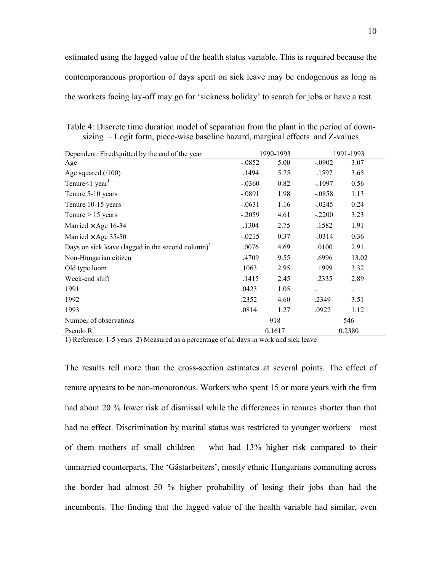estimated using the lagged value of the health status variable. This is required because the contemporaneous proportion of days spent on sick leave may be endogenous as long as the workers facing lay-off may go for 'sickness holiday' to search for jobs or have a rest.

Table 4: Discrete time duration model of separation from the plant in the period of downsizing – Logit form, piece-wise baseline hazard, marginal effects and Z-values

| Dependent: Fired/quitted by the end of the year               |           | 1990-1993 |           | 1991-1993 |
|---------------------------------------------------------------|-----------|-----------|-----------|-----------|
| Age                                                           | $-.0852$  | 5.00      | $-.0902$  | 3.07      |
| Age squared $(100)$                                           | .1494     | 5.75      | .1597     | 3.65      |
| Tenure $\leq 1$ year <sup>1</sup>                             | $-.0360$  | 0.82      | $-.1097$  | 0.56      |
| Tenure 5-10 years                                             | $-.0891$  | 1.98      | $-.0858$  | 1.13      |
| Tenure 10-15 years                                            | $-.0631$  | 1.16      | $-0.0245$ | 0.24      |
| Tenure $> 15$ years                                           | $-.2059$  | 4.61      | $-.2200$  | 3.23      |
| Married $\times$ Age 16-34                                    | .1304     | 2.75      | .1582     | 1.91      |
| Married $\times$ Age 35-50                                    | $-0.0215$ | 0.37      | $-.0314$  | 0.36      |
| Days on sick leave (lagged in the second column) <sup>2</sup> | .0076     | 4.69      | .0100     | 2.91      |
| Non-Hungarian citizen                                         | .4709     | 9.55      | .6996     | 13.02     |
| Old type loom                                                 | .1063     | 2.95      | .1999     | 3.32      |
| Week-end shift                                                | .1415     | 2.45      | .2335     | 2.89      |
| 1991                                                          | .0423     | 1.05      | $\ddotsc$ |           |
| 1992                                                          | .2352     | 4.60      | .2349     | 3.51      |
| 1993                                                          | .0814     | 1.27      | .0922     | 1.12      |
| Number of observations                                        |           | 918       |           | 546       |
| Pseudo $R^2$                                                  |           | 0.1617    |           | 0.2380    |

1) Reference: 1-5 years 2) Measured as a percentage of all days in work and sick leave

The results tell more than the cross-section estimates at several points. The effect of tenure appears to be non-monotonous. Workers who spent 15 or more years with the firm had about 20 % lower risk of dismissal while the differences in tenures shorter than that had no effect. Discrimination by marital status was restricted to younger workers – most of them mothers of small children – who had 13% higher risk compared to their unmarried counterparts. The 'Gästarbeiters', mostly ethnic Hungarians commuting across the border had almost 50 % higher probability of losing their jobs than had the incumbents. The finding that the lagged value of the health variable had similar, even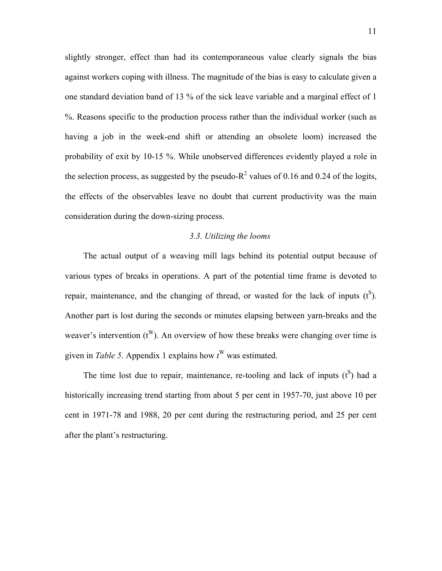slightly stronger, effect than had its contemporaneous value clearly signals the bias against workers coping with illness. The magnitude of the bias is easy to calculate given a one standard deviation band of 13 % of the sick leave variable and a marginal effect of 1 %. Reasons specific to the production process rather than the individual worker (such as having a job in the week-end shift or attending an obsolete loom) increased the probability of exit by 10-15 %. While unobserved differences evidently played a role in the selection process, as suggested by the pseudo- $R^2$  values of 0.16 and 0.24 of the logits, the effects of the observables leave no doubt that current productivity was the main consideration during the down-sizing process.

#### *3.3. Utilizing the looms*

The actual output of a weaving mill lags behind its potential output because of various types of breaks in operations. A part of the potential time frame is devoted to repair, maintenance, and the changing of thread, or wasted for the lack of inputs  $(t^S)$ . Another part is lost during the seconds or minutes elapsing between yarn-breaks and the weaver's intervention  $(t^W)$ . An overview of how these breaks were changing over time is given in *Table 5*. Appendix 1 explains how  $t^W$  was estimated.

The time lost due to repair, maintenance, re-tooling and lack of inputs  $(t^S)$  had a historically increasing trend starting from about 5 per cent in 1957-70, just above 10 per cent in 1971-78 and 1988, 20 per cent during the restructuring period, and 25 per cent after the plant's restructuring.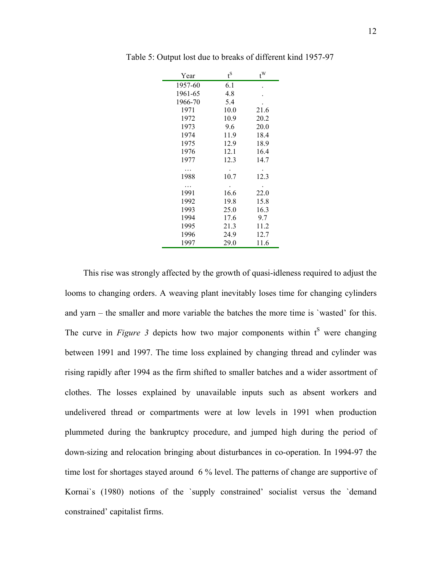| Year    | $t^{\rm S}$ | $t^W$ |
|---------|-------------|-------|
| 1957-60 | 6.1         |       |
| 1961-65 | 4.8         |       |
| 1966-70 | 5.4         |       |
| 1971    | 10.0        | 21.6  |
| 1972    | 10.9        | 20.2  |
| 1973    | 9.6         | 20.0  |
| 1974    | 11.9        | 18.4  |
| 1975    | 12.9        | 18.9  |
| 1976    | 12.1        | 16.4  |
| 1977    | 12.3        | 14.7  |
|         |             |       |
| 1988    | 10.7        | 12.3  |
|         |             |       |
| 1991    | 16.6        | 22.0  |
| 1992    | 19.8        | 15.8  |
| 1993    | 25.0        | 16.3  |
| 1994    | 17.6        | 9.7   |
| 1995    | 21.3        | 11.2  |
| 1996    | 24.9        | 12.7  |
| 1997    | 29.0        | 11.6  |

Table 5: Output lost due to breaks of different kind 1957-97

This rise was strongly affected by the growth of quasi-idleness required to adjust the looms to changing orders. A weaving plant inevitably loses time for changing cylinders and yarn – the smaller and more variable the batches the more time is `wasted' for this. The curve in *Figure 3* depicts how two major components within  $t^S$  were changing between 1991 and 1997. The time loss explained by changing thread and cylinder was rising rapidly after 1994 as the firm shifted to smaller batches and a wider assortment of clothes. The losses explained by unavailable inputs such as absent workers and undelivered thread or compartments were at low levels in 1991 when production plummeted during the bankruptcy procedure, and jumped high during the period of down-sizing and relocation bringing about disturbances in co-operation. In 1994-97 the time lost for shortages stayed around 6 % level. The patterns of change are supportive of Kornai`s (1980) notions of the `supply constrained' socialist versus the `demand constrained' capitalist firms.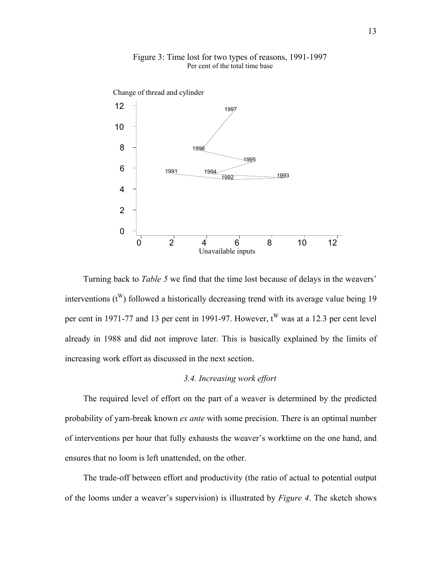

Figure 3: Time lost for two types of reasons, 1991-1997 Per cent of the total time base

Turning back to *Table 5* we find that the time lost because of delays in the weavers' interventions  $(t^W)$  followed a historically decreasing trend with its average value being 19 per cent in 1971-77 and 13 per cent in 1991-97. However,  $t^W$  was at a 12.3 per cent level already in 1988 and did not improve later. This is basically explained by the limits of increasing work effort as discussed in the next section.

#### *3.4. Increasing work effort*

The required level of effort on the part of a weaver is determined by the predicted probability of yarn-break known *ex ante* with some precision. There is an optimal number of interventions per hour that fully exhausts the weaver's worktime on the one hand, and ensures that no loom is left unattended, on the other.

The trade-off between effort and productivity (the ratio of actual to potential output of the looms under a weaver's supervision) is illustrated by *Figure 4*. The sketch shows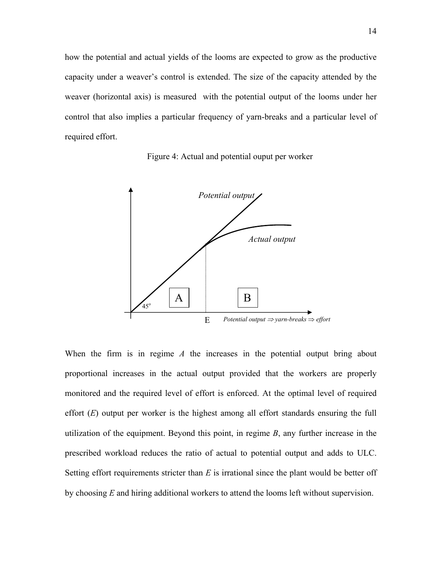how the potential and actual yields of the looms are expected to grow as the productive capacity under a weaver's control is extended. The size of the capacity attended by the weaver (horizontal axis) is measured with the potential output of the looms under her control that also implies a particular frequency of yarn-breaks and a particular level of required effort.





When the firm is in regime *A* the increases in the potential output bring about proportional increases in the actual output provided that the workers are properly monitored and the required level of effort is enforced. At the optimal level of required effort (*E*) output per worker is the highest among all effort standards ensuring the full utilization of the equipment. Beyond this point, in regime *B*, any further increase in the prescribed workload reduces the ratio of actual to potential output and adds to ULC. Setting effort requirements stricter than *E* is irrational since the plant would be better off by choosing *E* and hiring additional workers to attend the looms left without supervision.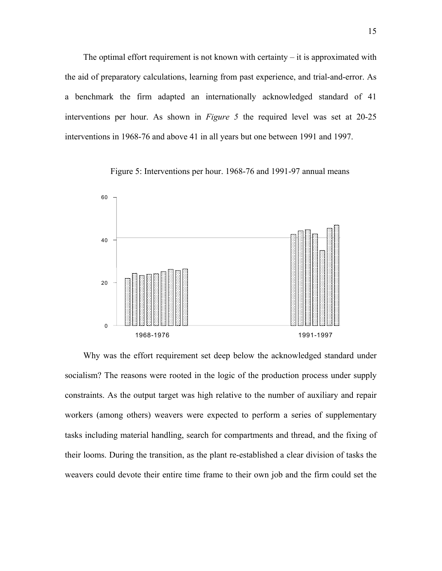The optimal effort requirement is not known with certainty  $-$  it is approximated with the aid of preparatory calculations, learning from past experience, and trial-and-error. As a benchmark the firm adapted an internationally acknowledged standard of 41 interventions per hour. As shown in *Figure 5* the required level was set at 20-25 interventions in 1968-76 and above 41 in all years but one between 1991 and 1997.

Figure 5: Interventions per hour. 1968-76 and 1991-97 annual means



Why was the effort requirement set deep below the acknowledged standard under socialism? The reasons were rooted in the logic of the production process under supply constraints. As the output target was high relative to the number of auxiliary and repair workers (among others) weavers were expected to perform a series of supplementary tasks including material handling, search for compartments and thread, and the fixing of their looms. During the transition, as the plant re-established a clear division of tasks the weavers could devote their entire time frame to their own job and the firm could set the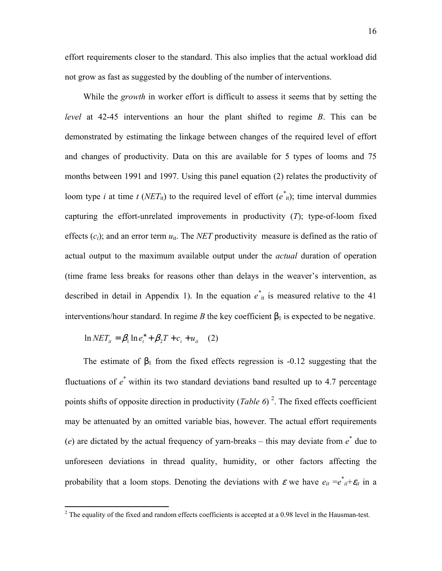not grow as fast as suggested by the doubling of the number of interventions.

While the *growth* in worker effort is difficult to assess it seems that by setting the *level* at 42-45 interventions an hour the plant shifted to regime *B*. This can be demonstrated by estimating the linkage between changes of the required level of effort and changes of productivity. Data on this are available for 5 types of looms and 75 months between 1991 and 1997. Using this panel equation (2) relates the productivity of loom type *i* at time *t* (*NET*<sub>it</sub>) to the required level of effort ( $e^*$ <sub>it</sub>); time interval dummies capturing the effort-unrelated improvements in productivity (*T*); type-of-loom fixed effects  $(c_i)$ ; and an error term  $u_{it}$ . The *NET* productivity measure is defined as the ratio of actual output to the maximum available output under the *actual* duration of operation (time frame less breaks for reasons other than delays in the weaver's intervention, as described in detail in Appendix 1). In the equation  $e^*_{it}$  is measured relative to the 41 interventions/hour standard. In regime *B* the key coefficient  $\beta_1$  is expected to be negative.

$$
\ln NET_{it} = \beta_1 \ln e_i^* + \beta_2 T + c_i + u_{it} \quad (2)
$$

The estimate of  $\beta_1$  from the fixed effects regression is -0.12 suggesting that the fluctuations of  $e^*$  within its two standard deviations band resulted up to 4.7 percentage points shifts of opposite direction in productivity (*Table 6*)<sup>2</sup>. The fixed effects coefficient may be attenuated by an omitted variable bias, however. The actual effort requirements (*e*) are dictated by the actual frequency of yarn-breaks – this may deviate from  $e^*$  due to unforeseen deviations in thread quality, humidity, or other factors affecting the probability that a loom stops. Denoting the deviations with  $\varepsilon$  we have  $e_{it} = e^*_{it} + \varepsilon_{it}$  in a

<sup>&</sup>lt;sup>2</sup> The equality of the fixed and random effects coefficients is accepted at a 0.98 level in the Hausman-test.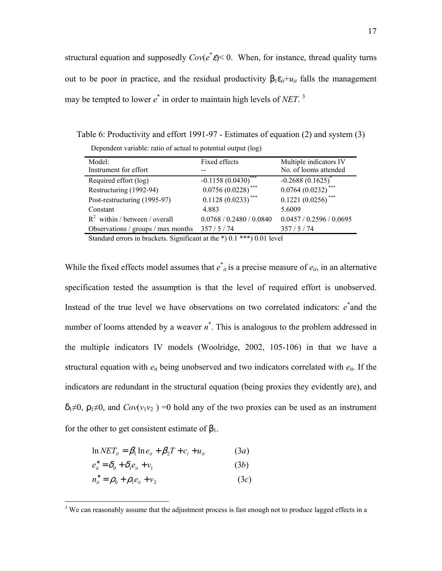structural equation and supposedly  $Cov(e^*e) < 0$ . When, for instance, thread quality turns out to be poor in practice, and the residual productivity  $β_1ε_{it} + u_{it}$  falls the management may be tempted to lower  $e^*$  in order to maintain high levels of *NET*.<sup>3</sup>

Table 6: Productivity and effort 1991-97 - Estimates of equation (2) and system (3)

| Dependent variable: ratio of actual to potential output (log) |  |  |  |  |
|---------------------------------------------------------------|--|--|--|--|
|---------------------------------------------------------------|--|--|--|--|

| Model:                             | Fixed effects            | Multiple indicators IV   |
|------------------------------------|--------------------------|--------------------------|
| Instrument for effort              |                          | No. of looms attended    |
| Required effort (log)              | $-0.1158(0.0430)^{*}$    | $-0.2688(0.1625)^{*}$    |
| Restructuring (1992-94)            | $0.0756(0.0228)$ ***     | $0.0764(0.0232)$ ***     |
| Post-restructuring (1995-97)       | $0.1128(0.0233)$ ***     | $0.1221(0.0256)$ **      |
| Constant                           | 4.883                    | 5.6009                   |
| $R^2$ within / between / overall   | 0.0768 / 0.2480 / 0.0840 | 0.0457 / 0.2596 / 0.0695 |
| Observations / groups / max months | 357/5/74                 | 357/5/74                 |
|                                    |                          |                          |

Standard errors in brackets. Significant at the \*) 0.1 \*\*\*) 0.01 level

While the fixed effects model assumes that  $e^*_{it}$  is a precise measure of  $e_{it}$ , in an alternative specification tested the assumption is that the level of required effort is unobserved. Instead of the true level we have observations on two correlated indicators:  $e^*$  and the number of looms attended by a weaver  $n^*$ . This is analogous to the problem addressed in the multiple indicators IV models (Woolridge, 2002, 105-106) in that we have a structural equation with  $e_{it}$  being unobserved and two indicators correlated with  $e_{it}$ . If the indicators are redundant in the structural equation (being proxies they evidently are), and  $\delta_1 \neq 0$ ,  $\rho_1 \neq 0$ , and  $Cov(v_1v_2) = 0$  hold any of the two proxies can be used as an instrument for the other to get consistent estimate of  $\beta_1$ .

$$
\ln NET_{ii} = \beta_1 \ln e_{ii} + \beta_2 T + c_i + u_{ii}
$$
 (3*a*)

$$
e_{it}^* = \delta_0 + \delta_1 e_{it} + v_1 \tag{3b}
$$

<u>.</u>

$$
n_{it}^* = \rho_0 + \rho_1 e_{it} + v_2 \tag{3c}
$$

 $3$  We can reasonably assume that the adjustment process is fast enough not to produce lagged effects in a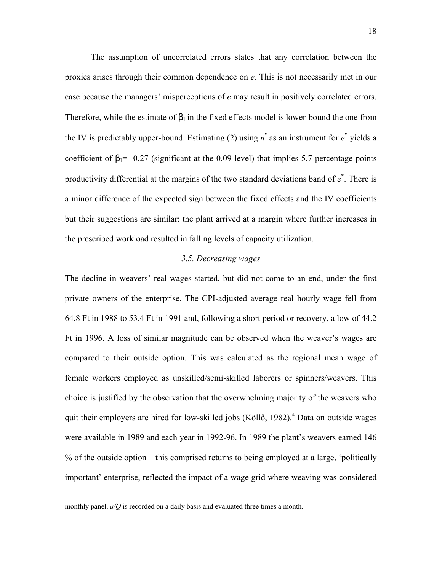The assumption of uncorrelated errors states that any correlation between the proxies arises through their common dependence on *e.* This is not necessarily met in our case because the managers' misperceptions of *e* may result in positively correlated errors. Therefore, while the estimate of  $\beta_1$  in the fixed effects model is lower-bound the one from the IV is predictably upper-bound. Estimating (2) using  $n^*$  as an instrument for  $e^*$  yields a coefficient of  $\beta_1$ = -0.27 (significant at the 0.09 level) that implies 5.7 percentage points productivity differential at the margins of the two standard deviations band of  $e^*$ . There is a minor difference of the expected sign between the fixed effects and the IV coefficients but their suggestions are similar: the plant arrived at a margin where further increases in the prescribed workload resulted in falling levels of capacity utilization.

#### *3.5. Decreasing wages*

The decline in weavers' real wages started, but did not come to an end, under the first private owners of the enterprise. The CPI-adjusted average real hourly wage fell from 64.8 Ft in 1988 to 53.4 Ft in 1991 and, following a short period or recovery, a low of 44.2 Ft in 1996. A loss of similar magnitude can be observed when the weaver's wages are compared to their outside option. This was calculated as the regional mean wage of female workers employed as unskilled/semi-skilled laborers or spinners/weavers. This choice is justified by the observation that the overwhelming majority of the weavers who quit their employers are hired for low-skilled jobs (Köllő, 1982).<sup>4</sup> Data on outside wages were available in 1989 and each year in 1992-96. In 1989 the plant's weavers earned 146 % of the outside option – this comprised returns to being employed at a large, 'politically important' enterprise, reflected the impact of a wage grid where weaving was considered

monthly panel. *q/Q* is recorded on a daily basis and evaluated three times a month.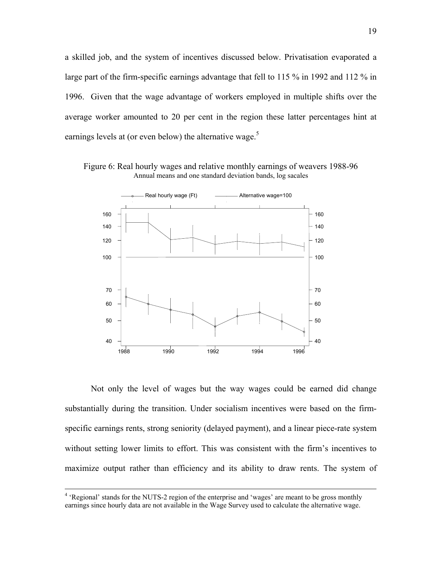a skilled job, and the system of incentives discussed below. Privatisation evaporated a large part of the firm-specific earnings advantage that fell to 115 % in 1992 and 112 % in 1996. Given that the wage advantage of workers employed in multiple shifts over the average worker amounted to 20 per cent in the region these latter percentages hint at earnings levels at (or even below) the alternative wage.<sup>5</sup>

Figure 6: Real hourly wages and relative monthly earnings of weavers 1988-96 Annual means and one standard deviation bands, log sacales



Not only the level of wages but the way wages could be earned did change substantially during the transition. Under socialism incentives were based on the firmspecific earnings rents, strong seniority (delayed payment), and a linear piece-rate system without setting lower limits to effort. This was consistent with the firm's incentives to maximize output rather than efficiency and its ability to draw rents. The system of

 $\frac{1}{4}$ <sup>4</sup> 'Regional' stands for the NUTS-2 region of the enterprise and 'wages' are meant to be gross monthly earnings since hourly data are not available in the Wage Survey used to calculate the alternative wage.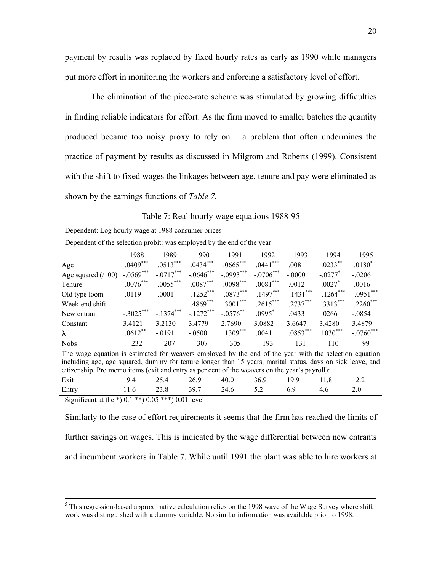payment by results was replaced by fixed hourly rates as early as 1990 while managers put more effort in monitoring the workers and enforcing a satisfactory level of effort.

The elimination of the piece-rate scheme was stimulated by growing difficulties in finding reliable indicators for effort. As the firm moved to smaller batches the quantity produced became too noisy proxy to rely on  $-$  a problem that often undermines the practice of payment by results as discussed in Milgrom and Roberts (1999). Consistent with the shift to fixed wages the linkages between age, tenure and pay were eliminated as shown by the earnings functions of *Table 7.* 

#### Table 7: Real hourly wage equations 1988-95

Dependent: Log hourly wage at 1988 consumer prices

Dependent of the selection probit: was employed by the end of the year

|                                                                                                        | 1988           | 1989                     | 1990         | 1991        | 1992        | 1993         | 1994                  | 1995         |
|--------------------------------------------------------------------------------------------------------|----------------|--------------------------|--------------|-------------|-------------|--------------|-----------------------|--------------|
| Age                                                                                                    | $.0409***$     | $.0513***$               | $.0434***$   | $.0665***$  | $.0441$ *** | .0081        | $.0233$ **            | $.0180*$     |
| Age squared $(100)$                                                                                    | $-.0569***$    | $-.0717***$              | $-.0646$ *** | $-.0993***$ | $-.0706***$ | $-.0000$     | $-.0277$ <sup>*</sup> | $-.0206$     |
| Tenure                                                                                                 | $.0076***$     | $.0055***$               | $.0087***$   | $.0098***$  | $.0081***$  | .0012        | $.0027*$              | .0016        |
| Old type loom                                                                                          | .0119          | .0001                    | $-.1252$ *** | $-.0873***$ | $-.1497***$ | $-.1431$ *** | $-.1264***$           | $-.0951$ *** |
| Week-end shift                                                                                         | $\blacksquare$ | $\overline{\phantom{a}}$ | $.4869***$   | $.3001***$  | $.2615***$  | $.2737***$   | $.3313***$            | $.2260***$   |
| New entrant                                                                                            | $-.3025***$    | $-.1374***$              | $-.1272***$  | $-.0576$ ** | $.0995^*$   | .0433        | .0266                 | $-0854$      |
| Constant                                                                                               | 3.4121         | 3.2130                   | 3.4779       | 2.7690      | 3.0882      | 3.6647       | 3.4280                | 3.4879       |
| $\lambda$                                                                                              | $.0612***$     | $-0191$                  | $-.0500$     | $.1309***$  | .0041       | $.0853***$   | $.1030***$            | $-.0760$ *** |
| <b>Nobs</b>                                                                                            | 232            | 207                      | 307          | 305         | 193         | 131          | 110                   | 99           |
| The wage equation is estimated for weavers employed by the end of the year with the selection equation |                |                          |              |             |             |              |                       |              |

including age, age squared, dummy for tenure longer than 15 years, marital status, days on sick leave, and citizenship. Pro memo items (exit and entry as per cent of the weavers on the year's payroll): Exit 19.4 25.4 26.9 40.0 36.9 19.9 11.8 12.2 Entry 11.6 23.8 39.7 24.6 5.2 6.9 4.6 2.0

Significant at the \*)  $0.1$  \*\*)  $0.05$  \*\*\*)  $0.01$  level

Similarly to the case of effort requirements it seems that the firm has reached the limits of further savings on wages. This is indicated by the wage differential between new entrants and incumbent workers in Table 7. While until 1991 the plant was able to hire workers at

 $\frac{1}{5}$ <sup>5</sup> This regression-based approximative calculation relies on the 1998 wave of the Wage Survey where shift work was distinguished with a dummy variable. No similar information was available prior to 1998.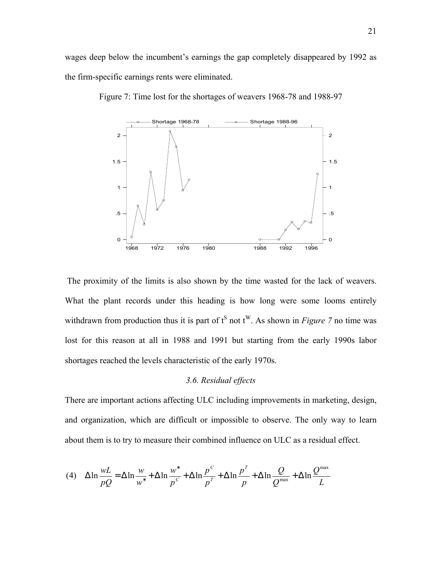

Figure 7: Time lost for the shortages of weavers 1968-78 and 1988-97

 The proximity of the limits is also shown by the time wasted for the lack of weavers. What the plant records under this heading is how long were some looms entirely withdrawn from production thus it is part of  $t^S$  not  $t^W$ . As shown in *Figure 7* no time was lost for this reason at all in 1988 and 1991 but starting from the early 1990s labor shortages reached the levels characteristic of the early 1970s.

#### *3.6. Residual effects*

There are important actions affecting ULC including improvements in marketing, design, and organization, which are difficult or impossible to observe. The only way to learn about them is to try to measure their combined influence on ULC as a residual effect.

(4) 
$$
\Delta \ln \frac{wL}{pQ} = \Delta \ln \frac{w}{w^*} + \Delta \ln \frac{w^*}{p^c} + \Delta \ln \frac{p^C}{p^T} + \Delta \ln \frac{p^T}{p} + \Delta \ln \frac{Q}{Q^{\max}} + \Delta \ln \frac{Q^{\max}}{L}
$$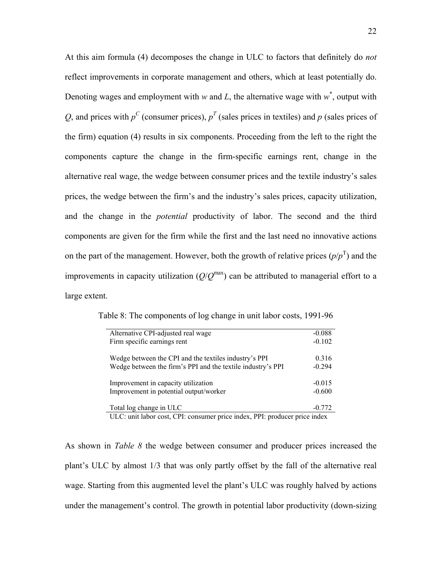At this aim formula (4) decomposes the change in ULC to factors that definitely do *not* reflect improvements in corporate management and others, which at least potentially do. Denoting wages and employment with *w* and *L*, the alternative wage with  $w^*$ , output with Q, and prices with  $p^C$  (consumer prices),  $p^T$  (sales prices in textiles) and p (sales prices of the firm) equation (4) results in six components. Proceeding from the left to the right the components capture the change in the firm-specific earnings rent, change in the alternative real wage, the wedge between consumer prices and the textile industry's sales prices, the wedge between the firm's and the industry's sales prices, capacity utilization, and the change in the *potential* productivity of labor. The second and the third components are given for the firm while the first and the last need no innovative actions on the part of the management. However, both the growth of relative prices  $(p/p<sup>T</sup>)$  and the improvements in capacity utilization  $(Q/Q<sup>max</sup>)$  can be attributed to managerial effort to a large extent.

| Alternative CPI-adjusted real wage                                                                                   | $-0.088$             |
|----------------------------------------------------------------------------------------------------------------------|----------------------|
| Firm specific earnings rent                                                                                          | $-0.102$             |
| Wedge between the CPI and the textiles industry's PPI<br>Wedge between the firm's PPI and the textile industry's PPI | 0.316<br>$-0.294$    |
| Improvement in capacity utilization<br>Improvement in potential output/worker                                        | $-0.015$<br>$-0.600$ |
| Total log change in ULC                                                                                              | $-0.772$             |

Table 8: The components of log change in unit labor costs, 1991-96

ULC: unit labor cost, CPI: consumer price index, PPI: producer price index

As shown in *Table 8* the wedge between consumer and producer prices increased the plant's ULC by almost 1/3 that was only partly offset by the fall of the alternative real wage. Starting from this augmented level the plant's ULC was roughly halved by actions under the management's control. The growth in potential labor productivity (down-sizing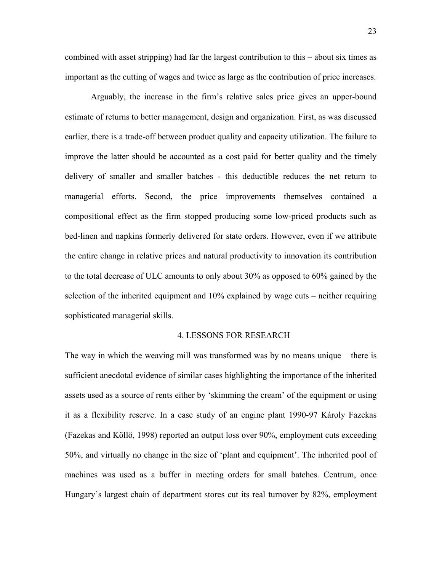combined with asset stripping) had far the largest contribution to this – about six times as important as the cutting of wages and twice as large as the contribution of price increases.

Arguably, the increase in the firm's relative sales price gives an upper-bound estimate of returns to better management, design and organization. First, as was discussed earlier, there is a trade-off between product quality and capacity utilization. The failure to improve the latter should be accounted as a cost paid for better quality and the timely delivery of smaller and smaller batches - this deductible reduces the net return to managerial efforts. Second, the price improvements themselves contained a compositional effect as the firm stopped producing some low-priced products such as bed-linen and napkins formerly delivered for state orders. However, even if we attribute the entire change in relative prices and natural productivity to innovation its contribution to the total decrease of ULC amounts to only about 30% as opposed to 60% gained by the selection of the inherited equipment and 10% explained by wage cuts – neither requiring sophisticated managerial skills.

#### 4. LESSONS FOR RESEARCH

The way in which the weaving mill was transformed was by no means unique – there is sufficient anecdotal evidence of similar cases highlighting the importance of the inherited assets used as a source of rents either by 'skimming the cream' of the equipment or using it as a flexibility reserve. In a case study of an engine plant 1990-97 Károly Fazekas (Fazekas and Köllő, 1998) reported an output loss over 90%, employment cuts exceeding 50%, and virtually no change in the size of 'plant and equipment'. The inherited pool of machines was used as a buffer in meeting orders for small batches. Centrum, once Hungary's largest chain of department stores cut its real turnover by 82%, employment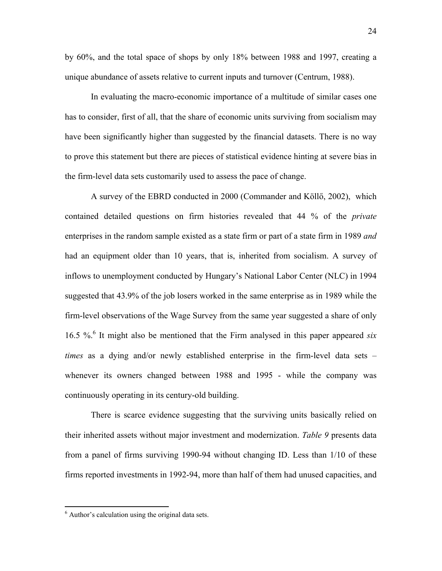by 60%, and the total space of shops by only 18% between 1988 and 1997, creating a unique abundance of assets relative to current inputs and turnover (Centrum, 1988).

 In evaluating the macro-economic importance of a multitude of similar cases one has to consider, first of all, that the share of economic units surviving from socialism may have been significantly higher than suggested by the financial datasets. There is no way to prove this statement but there are pieces of statistical evidence hinting at severe bias in the firm-level data sets customarily used to assess the pace of change.

 A survey of the EBRD conducted in 2000 (Commander and Köllő, 2002), which contained detailed questions on firm histories revealed that 44 % of the *private* enterprises in the random sample existed as a state firm or part of a state firm in 1989 *and* had an equipment older than 10 years, that is, inherited from socialism. A survey of inflows to unemployment conducted by Hungary's National Labor Center (NLC) in 1994 suggested that 43.9% of the job losers worked in the same enterprise as in 1989 while the firm-level observations of the Wage Survey from the same year suggested a share of only 16.5 %.6 It might also be mentioned that the Firm analysed in this paper appeared *six times* as a dying and/or newly established enterprise in the firm-level data sets – whenever its owners changed between 1988 and 1995 - while the company was continuously operating in its century-old building.

 There is scarce evidence suggesting that the surviving units basically relied on their inherited assets without major investment and modernization. *Table 9* presents data from a panel of firms surviving 1990-94 without changing ID. Less than 1/10 of these firms reported investments in 1992-94, more than half of them had unused capacities, and

1

<sup>6</sup> Author's calculation using the original data sets.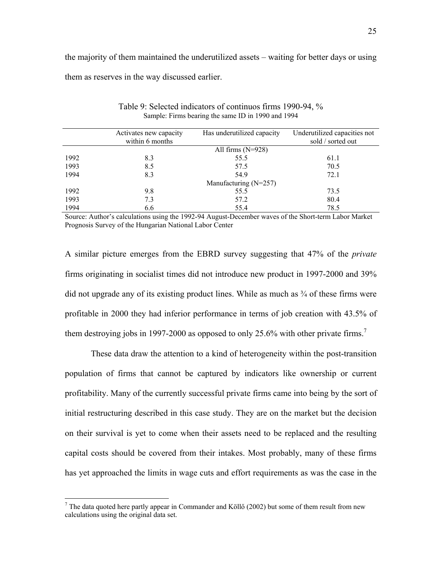the majority of them maintained the underutilized assets – waiting for better days or using them as reserves in the way discussed earlier.

|      | Activates new capacity | Has underutilized capacity | Underutilized capacities not |
|------|------------------------|----------------------------|------------------------------|
|      | within 6 months        |                            | sold / sorted out            |
|      |                        | All firms $(N=928)$        |                              |
| 1992 | 8.3                    | 55.5                       | 61.1                         |
| 1993 | 8.5                    | 57.5                       | 70.5                         |
| 1994 | 8.3                    | 54.9                       | 72.1                         |
|      |                        | Manufacturing (N=257)      |                              |
| 1992 | 9.8                    | 55.5                       | 73.5                         |
| 1993 | 7.3                    | 57.2                       | 80.4                         |
| 1994 | 6.6                    | 55.4                       | 78.5                         |

Table 9: Selected indicators of continuos firms 1990-94, % Sample: Firms bearing the same ID in 1990 and 1994

Source: Author's calculations using the 1992-94 August-December waves of the Short-term Labor Market Prognosis Survey of the Hungarian National Labor Center

A similar picture emerges from the EBRD survey suggesting that 47% of the *private* firms originating in socialist times did not introduce new product in 1997-2000 and 39% did not upgrade any of its existing product lines. While as much as ¾ of these firms were profitable in 2000 they had inferior performance in terms of job creation with 43.5% of them destroying jobs in 1997-2000 as opposed to only 25.6% with other private firms.<sup>7</sup>

 These data draw the attention to a kind of heterogeneity within the post-transition population of firms that cannot be captured by indicators like ownership or current profitability. Many of the currently successful private firms came into being by the sort of initial restructuring described in this case study. They are on the market but the decision on their survival is yet to come when their assets need to be replaced and the resulting capital costs should be covered from their intakes. Most probably, many of these firms has yet approached the limits in wage cuts and effort requirements as was the case in the

The data quoted here partly appear in Commander and Köllő (2002) but some of them result from new calculations using the original data set.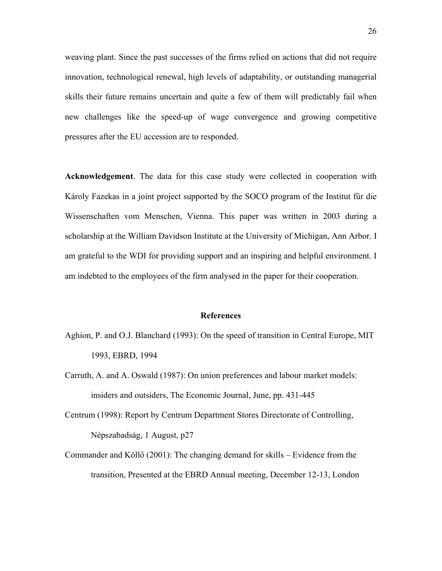weaving plant. Since the past successes of the firms relied on actions that did not require innovation, technological renewal, high levels of adaptability, or outstanding managerial skills their future remains uncertain and quite a few of them will predictably fail when new challenges like the speed-up of wage convergence and growing competitive pressures after the EU accession are to responded.

**Acknowledgement**. The data for this case study were collected in cooperation with Károly Fazekas in a joint project supported by the SOCO program of the Institut für die Wissenschaften vom Menschen, Vienna. This paper was written in 2003 during a scholarship at the William Davidson Institute at the University of Michigan, Ann Arbor. I am grateful to the WDI for providing support and an inspiring and helpful environment. I am indebted to the employees of the firm analysed in the paper for their cooperation.

#### **References**

- Aghion, P. and O.J. Blanchard (1993): On the speed of transition in Central Europe, MIT 1993, EBRD, 1994
- Carruth, A. and A. Oswald (1987): On union preferences and labour market models: insiders and outsiders, The Economic Journal, June, pp. 431-445
- Centrum (1998): Report by Centrum Department Stores Directorate of Controlling, Népszabadság, 1 August, p27
- Commander and Köllő (2001): The changing demand for skills Evidence from the transition, Presented at the EBRD Annual meeting, December 12-13, London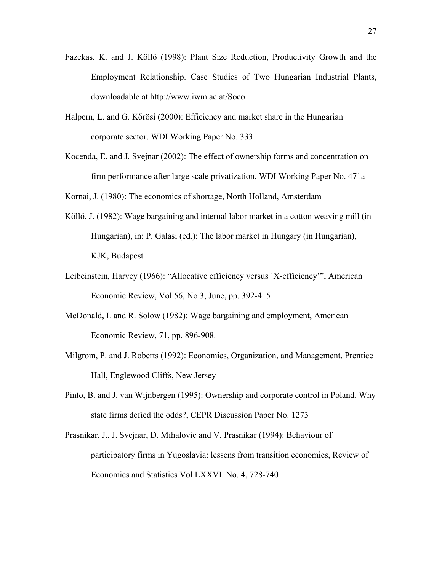- Fazekas, K. and J. Köllő (1998): Plant Size Reduction, Productivity Growth and the Employment Relationship. Case Studies of Two Hungarian Industrial Plants, downloadable at http://www.iwm.ac.at/Soco
- Halpern, L. and G. Kőrösi (2000): Efficiency and market share in the Hungarian corporate sector, WDI Working Paper No. 333
- Kocenda, E. and J. Svejnar (2002): The effect of ownership forms and concentration on firm performance after large scale privatization, WDI Working Paper No. 471a

Kornai, J. (1980): The economics of shortage, North Holland, Amsterdam

- Köllő, J. (1982): Wage bargaining and internal labor market in a cotton weaving mill (in Hungarian), in: P. Galasi (ed.): The labor market in Hungary (in Hungarian), KJK, Budapest
- Leibeinstein, Harvey (1966): "Allocative efficiency versus `X-efficiency'", American Economic Review, Vol 56, No 3, June, pp. 392-415
- McDonald, I. and R. Solow (1982): Wage bargaining and employment, American Economic Review, 71, pp. 896-908.
- Milgrom, P. and J. Roberts (1992): Economics, Organization, and Management, Prentice Hall, Englewood Cliffs, New Jersey
- Pinto, B. and J. van Wijnbergen (1995): Ownership and corporate control in Poland. Why state firms defied the odds?, CEPR Discussion Paper No. 1273
- Prasnikar, J., J. Svejnar, D. Mihalovic and V. Prasnikar (1994): Behaviour of participatory firms in Yugoslavia: lessens from transition economies, Review of Economics and Statistics Vol LXXVI. No. 4, 728-740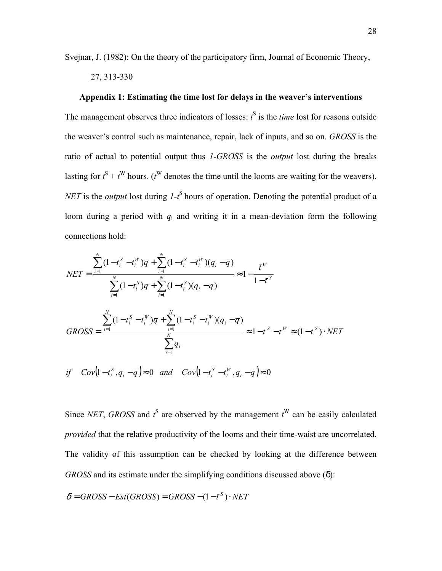Svejnar, J. (1982): On the theory of the participatory firm, Journal of Economic Theory,

27, 313-330

#### **Appendix 1: Estimating the time lost for delays in the weaver's interventions**

The management observes three indicators of losses:  $t^S$  is the *time* lost for reasons outside the weaver's control such as maintenance, repair, lack of inputs, and so on. *GROSS* is the ratio of actual to potential output thus *1-GROSS* is the *output* lost during the breaks lasting for  $t^S + t^W$  hours. ( $t^W$  denotes the time until the looms are waiting for the weavers). *NET* is the *output* lost during *1*-t<sup>S</sup> hours of operation. Denoting the potential product of a loom during a period with  $q_i$  and writing it in a mean-deviation form the following connections hold:

$$
NET = \frac{\sum_{i=1}^{N} (1 - t_i^S - t_i^W) \overline{q} + \sum_{i=1}^{N} (1 - t_i^S - t_i^W) (q_i - \overline{q})}{\sum_{i=1}^{N} (1 - t_i^S) \overline{q} + \sum_{i=1}^{N} (1 - t_i^S) (q_i - \overline{q})} \approx 1 - \frac{\overline{t}^W}{1 - \overline{t}^S}
$$
  
\n
$$
GROSS = \frac{\sum_{i=1}^{N} (1 - t_i^S - t_i^W) \overline{q} + \sum_{i=1}^{N} (1 - t_i^S - t_i^W) (q_i - \overline{q})}{\sum_{i=1}^{N} q_i} \approx 1 - \overline{t}^S - \overline{t}^W \approx (1 - \overline{t}^S) \cdot NET
$$
  
\nif  $Cov(1 - t_i^S, q_i - \overline{q}) \approx 0$  and  $Cov(1 - t_i^S - t_i^W, q_i - \overline{q}) \approx 0$ 

Since *NET*, *GROSS* and  $t^S$  are observed by the management  $t^W$  can be easily calculated *provided* that the relative productivity of the looms and their time-waist are uncorrelated. The validity of this assumption can be checked by looking at the difference between *GROSS* and its estimate under the simplifying conditions discussed above (δ):

$$
\delta = GROSS - Est(GROSS) = GROSS - (1 - \bar{t}^S) \cdot NET
$$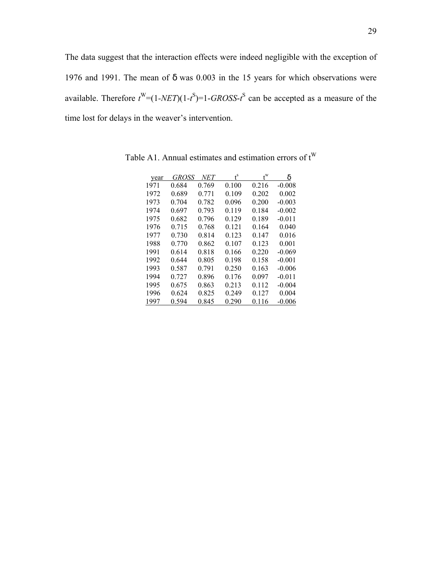The data suggest that the interaction effects were indeed negligible with the exception of 1976 and 1991. The mean of δ was 0.003 in the 15 years for which observations were available. Therefore  $t^W = (1 - NET)(1 - t^S) = 1 - GROSS - t^S$  can be accepted as a measure of the time lost for delays in the weaver's intervention.

| year | GROSS | NET   | ť     |       | δ        |
|------|-------|-------|-------|-------|----------|
| 1971 | 0.684 | 0.769 | 0.100 | 0.216 | $-0.008$ |
| 1972 | 0.689 | 0.771 | 0.109 | 0.202 | 0.002    |
| 1973 | 0.704 | 0.782 | 0.096 | 0.200 | $-0.003$ |
| 1974 | 0.697 | 0.793 | 0.119 | 0.184 | $-0.002$ |
| 1975 | 0.682 | 0.796 | 0.129 | 0.189 | $-0.011$ |
| 1976 | 0.715 | 0.768 | 0.121 | 0.164 | 0.040    |
| 1977 | 0.730 | 0.814 | 0.123 | 0.147 | 0.016    |
| 1988 | 0.770 | 0.862 | 0.107 | 0.123 | 0.001    |
| 1991 | 0.614 | 0.818 | 0.166 | 0.220 | $-0.069$ |
| 1992 | 0.644 | 0.805 | 0.198 | 0.158 | $-0.001$ |
| 1993 | 0.587 | 0.791 | 0.250 | 0.163 | $-0.006$ |
| 1994 | 0.727 | 0.896 | 0.176 | 0.097 | $-0.011$ |
| 1995 | 0.675 | 0.863 | 0.213 | 0.112 | $-0.004$ |
| 1996 | 0.624 | 0.825 | 0.249 | 0.127 | 0.004    |
| 1997 | 0.594 | 0.845 | 0.290 | 0.116 | $-0.006$ |

Table A1. Annual estimates and estimation errors of  $t^W$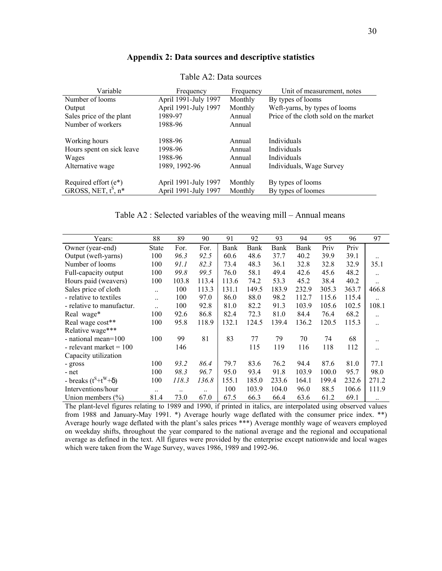| Variable                                                        | Frequency            | Frequency | Unit of measurement, notes            |
|-----------------------------------------------------------------|----------------------|-----------|---------------------------------------|
| Number of looms                                                 | April 1991-July 1997 | Monthly   | By types of looms                     |
| Output                                                          | April 1991-July 1997 | Monthly   | Weft-yarns, by types of looms         |
| Sales price of the plant                                        | 1989-97              | Annual    | Price of the cloth sold on the market |
| Number of workers                                               | 1988-96              | Annual    |                                       |
| Working hours                                                   | 1988-96              | Annual    | Individuals                           |
| Hours spent on sick leave                                       | 1998-96              | Annual    | Individuals                           |
| Wages                                                           | 1988-96              | Annual    | Individuals                           |
| Alternative wage                                                | 1989, 1992-96        | Annual    | Individuals, Wage Survey              |
|                                                                 | April 1991-July 1997 | Monthly   | By types of looms                     |
| Required effort ( $e^*$ )<br>GROSS, NET, $t^8$ , n <sup>*</sup> | April 1991-July 1997 | Monthly   | By types of loomes                    |

#### **Appendix 2: Data sources and descriptive statistics**

Table A2: Data sources

| Table A2 : Selected variables of the weaving mill – Annual means |  |  |
|------------------------------------------------------------------|--|--|
|                                                                  |  |  |

| Years:                      | 88                   | 89    | 90        | 91    | 92    | 93    | 94    | 95    | 96    | 97        |
|-----------------------------|----------------------|-------|-----------|-------|-------|-------|-------|-------|-------|-----------|
| Owner (year-end)            | State                | For.  | For.      | Bank  | Bank  | Bank  | Bank  | Priv  | Priv  |           |
| Output (weft-yarns)         | 100                  | 96.3  | 92.5      | 60.6  | 48.6  | 37.7  | 40.2  | 39.9  | 39.1  |           |
| Number of looms             | 100                  | 91.1  | 82.3      | 73.4  | 48.3  | 36.1  | 32.8  | 32.8  | 32.9  | 35.1      |
| Full-capacity output        | 100                  | 99.8  | 99.5      | 76.0  | 58.1  | 49.4  | 42.6  | 45.6  | 48.2  |           |
| Hours paid (weavers)        | 100                  | 103.8 | 113.4     | 113.6 | 74.2  | 53.3  | 45.2  | 38.4  | 40.2  |           |
| Sales price of cloth        | $\ddot{\phantom{a}}$ | 100   | 113.3     | 131.1 | 149.5 | 183.9 | 232.9 | 305.3 | 363.7 | 466.8     |
| - relative to textiles      | $\ddot{\phantom{a}}$ | 100   | 97.0      | 86.0  | 88.0  | 98.2  | 112.7 | 115.6 | 115.4 |           |
| - relative to manufactur.   | $\ddotsc$            | 100   | 92.8      | 81.0  | 82.2  | 91.3  | 103.9 | 105.6 | 102.5 | 108.1     |
| Real wage*                  | 100                  | 92.6  | 86.8      | 82.4  | 72.3  | 81.0  | 84.4  | 76.4  | 68.2  |           |
| Real wage cost**            | 100                  | 95.8  | 118.9     | 132.1 | 124.5 | 139.4 | 136.2 | 120.5 | 115.3 | $\ddotsc$ |
| Relative wage***            |                      |       |           |       |       |       |       |       |       |           |
| - national mean=100         | 100                  | 99    | 81        | 83    | 77    | 79    | 70    | 74    | 68    |           |
| - relevant market $= 100$   |                      | 146   |           |       | 115   | 119   | 116   | 118   | 112   |           |
| Capacity utilization        |                      |       |           |       |       |       |       |       |       |           |
| - gross                     | 100                  | 93.2  | 86.4      | 79.7  | 83.6  | 76.2  | 94.4  | 87.6  | 81.0  | 77.1      |
| - net                       | 100                  | 98.3  | 96.7      | 95.0  | 93.4  | 91.8  | 103.9 | 100.0 | 95.7  | 98.0      |
| - breaks $(t^S+t^W+\delta)$ | 100                  | 118.3 | 136.8     | 155.1 | 185.0 | 233.6 | 164.1 | 199.4 | 232.6 | 271.2     |
| Interventions/hour          | $\ddotsc$            |       | $\ddotsc$ | 100   | 103.9 | 104.0 | 96.0  | 88.5  | 106.6 | 111.9     |
| Union members $(\% )$       | 81.4                 | 73.0  | 67.0      | 67.5  | 66.3  | 66.4  | 63.6  | 61.2  | 69.1  | $\ddotsc$ |

The plant-level figures relating to 1989 and 1990, if printed in italics, are interpolated using observed values from 1988 and January-May 1991. \*) Average hourly wage deflated with the consumer price index. \*\*) Average hourly wage deflated with the plant's sales prices \*\*\*) Average monthly wage of weavers employed on weekday shifts, throughout the year compared to the national average and the regional and occupational average as defined in the text. All figures were provided by the enterprise except nationwide and local wages which were taken from the Wage Survey, waves 1986, 1989 and 1992-96.